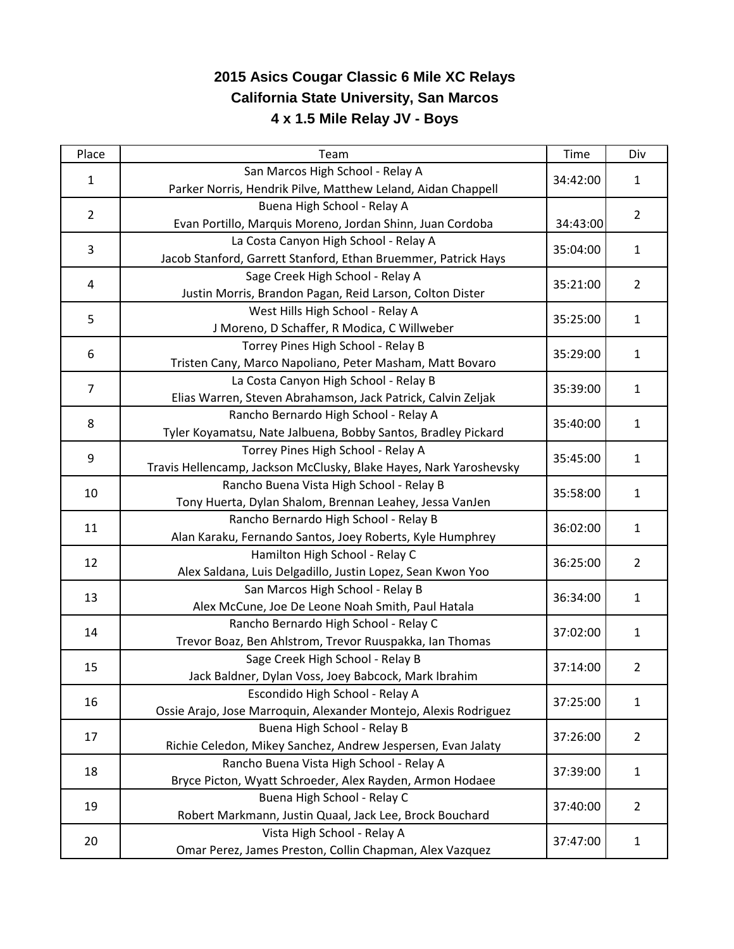## **2015 Asics Cougar Classic 6 Mile XC Relays California State University, San Marcos 4 x 1.5 Mile Relay JV - Boys**

| Place          | Team                                                               | Time     | Div            |
|----------------|--------------------------------------------------------------------|----------|----------------|
| $\mathbf{1}$   | San Marcos High School - Relay A                                   | 34:42:00 | $\mathbf{1}$   |
|                | Parker Norris, Hendrik Pilve, Matthew Leland, Aidan Chappell       |          |                |
| $\overline{2}$ | Buena High School - Relay A                                        |          | $\overline{2}$ |
|                | Evan Portillo, Marquis Moreno, Jordan Shinn, Juan Cordoba          | 34:43:00 |                |
| 3              | La Costa Canyon High School - Relay A                              | 35:04:00 | $\mathbf{1}$   |
|                | Jacob Stanford, Garrett Stanford, Ethan Bruemmer, Patrick Hays     |          |                |
| 4              | Sage Creek High School - Relay A                                   | 35:21:00 | $\overline{2}$ |
|                | Justin Morris, Brandon Pagan, Reid Larson, Colton Dister           |          |                |
| 5              | West Hills High School - Relay A                                   | 35:25:00 | $\mathbf{1}$   |
|                | J Moreno, D Schaffer, R Modica, C Willweber                        |          |                |
| 6              | Torrey Pines High School - Relay B                                 | 35:29:00 | $\mathbf{1}$   |
|                | Tristen Cany, Marco Napoliano, Peter Masham, Matt Bovaro           |          |                |
| $\overline{7}$ | La Costa Canyon High School - Relay B                              | 35:39:00 | $\mathbf{1}$   |
|                | Elias Warren, Steven Abrahamson, Jack Patrick, Calvin Zeljak       |          |                |
| 8              | Rancho Bernardo High School - Relay A                              | 35:40:00 | $\mathbf{1}$   |
|                | Tyler Koyamatsu, Nate Jalbuena, Bobby Santos, Bradley Pickard      |          |                |
| 9              | Torrey Pines High School - Relay A                                 | 35:45:00 | 1              |
|                | Travis Hellencamp, Jackson McClusky, Blake Hayes, Nark Yaroshevsky |          |                |
| 10             | Rancho Buena Vista High School - Relay B                           | 35:58:00 | 1              |
|                | Tony Huerta, Dylan Shalom, Brennan Leahey, Jessa VanJen            |          |                |
| 11             | Rancho Bernardo High School - Relay B                              | 36:02:00 | $\mathbf{1}$   |
|                | Alan Karaku, Fernando Santos, Joey Roberts, Kyle Humphrey          |          |                |
| 12             | Hamilton High School - Relay C                                     | 36:25:00 | $\overline{2}$ |
|                | Alex Saldana, Luis Delgadillo, Justin Lopez, Sean Kwon Yoo         |          |                |
| 13             | San Marcos High School - Relay B                                   | 36:34:00 | $\mathbf{1}$   |
|                | Alex McCune, Joe De Leone Noah Smith, Paul Hatala                  |          |                |
| 14             | Rancho Bernardo High School - Relay C                              | 37:02:00 | $\mathbf{1}$   |
|                | Trevor Boaz, Ben Ahlstrom, Trevor Ruuspakka, Ian Thomas            |          |                |
| 15             | Sage Creek High School - Relay B                                   | 37:14:00 | $\overline{2}$ |
|                | Jack Baldner, Dylan Voss, Joey Babcock, Mark Ibrahim               |          |                |
| 16             | Escondido High School - Relay A                                    | 37:25:00 | $\mathbf{1}$   |
|                | Ossie Arajo, Jose Marroquin, Alexander Montejo, Alexis Rodriguez   |          |                |
| 17             | Buena High School - Relay B                                        | 37:26:00 | $\overline{2}$ |
|                | Richie Celedon, Mikey Sanchez, Andrew Jespersen, Evan Jalaty       |          |                |
| 18             | Rancho Buena Vista High School - Relay A                           | 37:39:00 | $\mathbf{1}$   |
|                | Bryce Picton, Wyatt Schroeder, Alex Rayden, Armon Hodaee           |          |                |
| 19             | Buena High School - Relay C                                        | 37:40:00 | $\overline{2}$ |
|                | Robert Markmann, Justin Quaal, Jack Lee, Brock Bouchard            |          |                |
| 20             | Vista High School - Relay A                                        | 37:47:00 | $\mathbf{1}$   |
|                | Omar Perez, James Preston, Collin Chapman, Alex Vazquez            |          |                |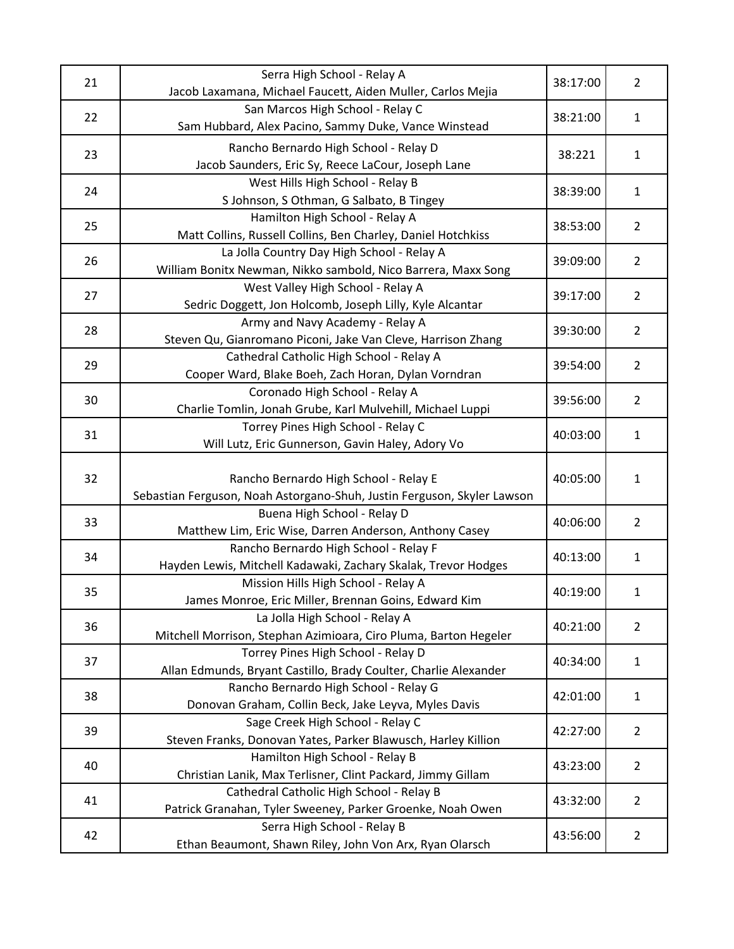| 21       | Serra High School - Relay A                                                                               | 38:17:00           | $\overline{2}$               |
|----------|-----------------------------------------------------------------------------------------------------------|--------------------|------------------------------|
|          | Jacob Laxamana, Michael Faucett, Aiden Muller, Carlos Mejia                                               |                    |                              |
| 22       | San Marcos High School - Relay C<br>Sam Hubbard, Alex Pacino, Sammy Duke, Vance Winstead                  | 38:21:00           | $\mathbf{1}$                 |
| 23<br>24 | Rancho Bernardo High School - Relay D                                                                     | 38:221<br>38:39:00 | $\mathbf{1}$<br>$\mathbf{1}$ |
|          | Jacob Saunders, Eric Sy, Reece LaCour, Joseph Lane                                                        |                    |                              |
|          | West Hills High School - Relay B                                                                          |                    |                              |
|          | S Johnson, S Othman, G Salbato, B Tingey                                                                  |                    |                              |
| 25       | Hamilton High School - Relay A                                                                            | 38:53:00           | $\overline{2}$               |
|          | Matt Collins, Russell Collins, Ben Charley, Daniel Hotchkiss                                              |                    |                              |
| 26       | La Jolla Country Day High School - Relay A                                                                | 39:09:00           | $\overline{2}$               |
|          | William Bonitx Newman, Nikko sambold, Nico Barrera, Maxx Song                                             |                    |                              |
|          | West Valley High School - Relay A                                                                         | 39:17:00           | $\overline{2}$               |
| 27       | Sedric Doggett, Jon Holcomb, Joseph Lilly, Kyle Alcantar                                                  |                    |                              |
|          | Army and Navy Academy - Relay A                                                                           |                    |                              |
| 28       | Steven Qu, Gianromano Piconi, Jake Van Cleve, Harrison Zhang                                              | 39:30:00           | $\overline{2}$               |
| 29       | Cathedral Catholic High School - Relay A                                                                  | 39:54:00           | $\overline{2}$               |
|          | Cooper Ward, Blake Boeh, Zach Horan, Dylan Vorndran                                                       |                    |                              |
| 30       | Coronado High School - Relay A                                                                            | 39:56:00           | $\overline{2}$               |
|          | Charlie Tomlin, Jonah Grube, Karl Mulvehill, Michael Luppi                                                |                    |                              |
| 31       | Torrey Pines High School - Relay C                                                                        | 40:03:00           | $\mathbf{1}$                 |
|          | Will Lutz, Eric Gunnerson, Gavin Haley, Adory Vo                                                          |                    |                              |
|          |                                                                                                           | 40:05:00           | 1                            |
| 32       | Rancho Bernardo High School - Relay E                                                                     |                    |                              |
|          | Sebastian Ferguson, Noah Astorgano-Shuh, Justin Ferguson, Skyler Lawson                                   |                    |                              |
| 33       | Buena High School - Relay D                                                                               | 40:06:00           | $\overline{2}$               |
|          | Matthew Lim, Eric Wise, Darren Anderson, Anthony Casey                                                    |                    |                              |
| 34       | Rancho Bernardo High School - Relay F                                                                     | 40:13:00           | $\mathbf{1}$                 |
|          | Hayden Lewis, Mitchell Kadawaki, Zachary Skalak, Trevor Hodges                                            |                    |                              |
| 35       | Mission Hills High School - Relay A                                                                       | 40:19:00           | $\mathbf{1}$                 |
|          | James Monroe, Eric Miller, Brennan Goins, Edward Kim                                                      |                    |                              |
| 36       | La Jolla High School - Relay A                                                                            | 40:21:00           | $\overline{2}$               |
|          | Mitchell Morrison, Stephan Azimioara, Ciro Pluma, Barton Hegeler                                          |                    |                              |
| 37       | Torrey Pines High School - Relay D                                                                        | 40:34:00           | 1                            |
|          | Allan Edmunds, Bryant Castillo, Brady Coulter, Charlie Alexander<br>Rancho Bernardo High School - Relay G |                    |                              |
| 38       | Donovan Graham, Collin Beck, Jake Leyva, Myles Davis                                                      | 42:01:00           | $\mathbf{1}$                 |
|          | Sage Creek High School - Relay C                                                                          |                    |                              |
| 39       | Steven Franks, Donovan Yates, Parker Blawusch, Harley Killion                                             | 42:27:00           | $\overline{2}$               |
|          | Hamilton High School - Relay B                                                                            | 43:23:00           | $\overline{2}$               |
| 40       | Christian Lanik, Max Terlisner, Clint Packard, Jimmy Gillam                                               |                    |                              |
| 41       | Cathedral Catholic High School - Relay B                                                                  | 43:32:00           | $\overline{2}$               |
|          | Patrick Granahan, Tyler Sweeney, Parker Groenke, Noah Owen                                                |                    |                              |
| 42       | Serra High School - Relay B                                                                               | 43:56:00           |                              |
|          | Ethan Beaumont, Shawn Riley, John Von Arx, Ryan Olarsch                                                   |                    | $\overline{2}$               |